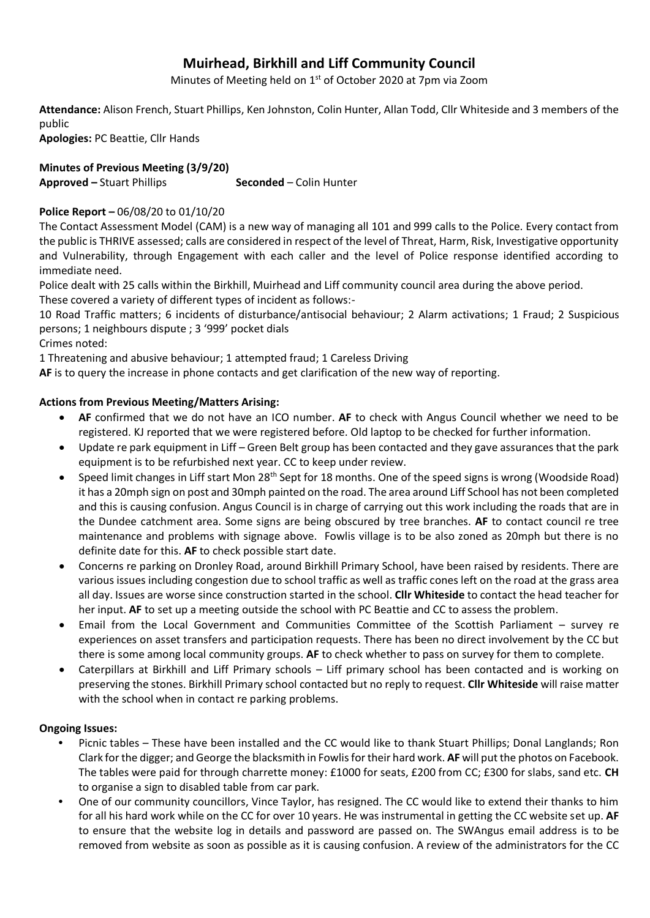# **Muirhead, Birkhill and Liff Community Council**

Minutes of Meeting held on 1<sup>st</sup> of October 2020 at 7pm via Zoom

**Attendance:** Alison French, Stuart Phillips, Ken Johnston, Colin Hunter, Allan Todd, Cllr Whiteside and 3 members of the public

**Apologies:** PC Beattie, Cllr Hands

**Minutes of Previous Meeting (3/9/20) Approved –** Stuart Phillips **Seconded** – Colin Hunter

# **Police Report –** 06/08/20 to 01/10/20

The Contact Assessment Model (CAM) is a new way of managing all 101 and 999 calls to the Police. Every contact from the public is THRIVE assessed; calls are considered in respect of the level of Threat, Harm, Risk, Investigative opportunity and Vulnerability, through Engagement with each caller and the level of Police response identified according to immediate need.

Police dealt with 25 calls within the Birkhill, Muirhead and Liff community council area during the above period. These covered a variety of different types of incident as follows:-

10 Road Traffic matters; 6 incidents of disturbance/antisocial behaviour; 2 Alarm activations; 1 Fraud; 2 Suspicious persons; 1 neighbours dispute ; 3 '999' pocket dials

Crimes noted:

1 Threatening and abusive behaviour; 1 attempted fraud; 1 Careless Driving

**AF** is to query the increase in phone contacts and get clarification of the new way of reporting.

# **Actions from Previous Meeting/Matters Arising:**

- **AF** confirmed that we do not have an ICO number. **AF** to check with Angus Council whether we need to be registered. KJ reported that we were registered before. Old laptop to be checked for further information.
- Update re park equipment in Liff Green Belt group has been contacted and they gave assurances that the park equipment is to be refurbished next year. CC to keep under review.
- Speed limit changes in Liff start Mon 28<sup>th</sup> Sept for 18 months. One of the speed signs is wrong (Woodside Road) it has a 20mph sign on post and 30mph painted on the road. The area around Liff School has not been completed and this is causing confusion. Angus Council is in charge of carrying out this work including the roads that are in the Dundee catchment area. Some signs are being obscured by tree branches. **AF** to contact council re tree maintenance and problems with signage above. Fowlis village is to be also zoned as 20mph but there is no definite date for this. **AF** to check possible start date.
- Concerns re parking on Dronley Road, around Birkhill Primary School, have been raised by residents. There are various issues including congestion due to school traffic as well as traffic cones left on the road at the grass area all day. Issues are worse since construction started in the school. **Cllr Whiteside** to contact the head teacher for her input. **AF** to set up a meeting outside the school with PC Beattie and CC to assess the problem.
- Email from the Local Government and Communities Committee of the Scottish Parliament survey re experiences on asset transfers and participation requests. There has been no direct involvement by the CC but there is some among local community groups. **AF** to check whether to pass on survey for them to complete.
- Caterpillars at Birkhill and Liff Primary schools Liff primary school has been contacted and is working on preserving the stones. Birkhill Primary school contacted but no reply to request. **Cllr Whiteside** will raise matter with the school when in contact re parking problems.

## **Ongoing Issues:**

- Picnic tables These have been installed and the CC would like to thank Stuart Phillips; Donal Langlands; Ron Clark for the digger; and George the blacksmith in Fowlisfor their hard work. **AF** will put the photos on Facebook. The tables were paid for through charrette money: £1000 for seats, £200 from CC; £300 for slabs, sand etc. **CH** to organise a sign to disabled table from car park.
- One of our community councillors, Vince Taylor, has resigned. The CC would like to extend their thanks to him for all his hard work while on the CC for over 10 years. He was instrumental in getting the CC website set up. **AF** to ensure that the website log in details and password are passed on. The SWAngus email address is to be removed from website as soon as possible as it is causing confusion. A review of the administrators for the CC